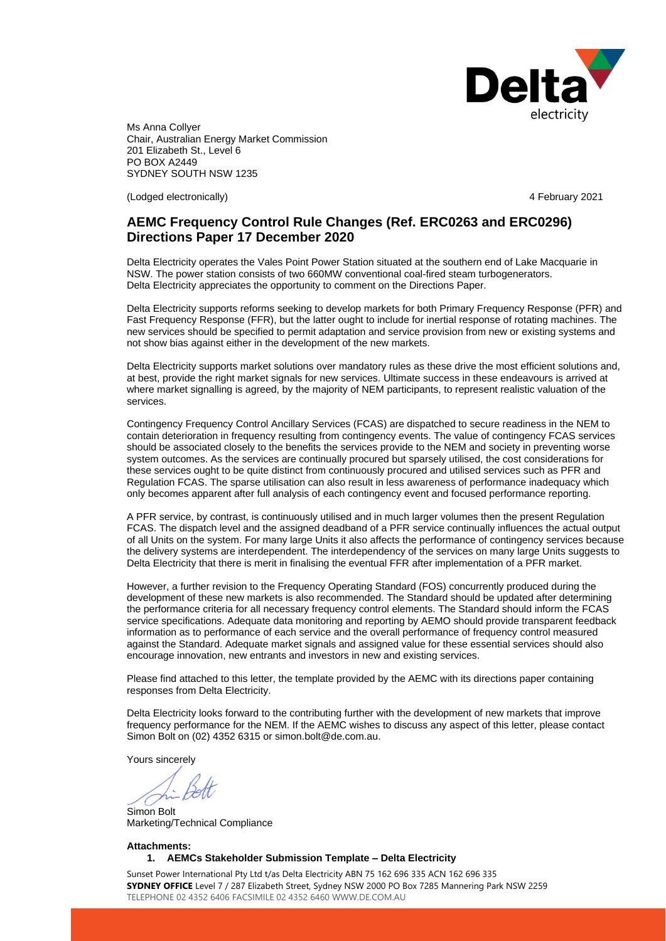

Ms Anna Collyer Chair, Australian Energy Market Commission 201 Elizabeth St., Level 6 PO BOX A2449 SYDNEY SOUTH NSW 1235

(Lodged electronically) 4 February 2021

# **AEMC Frequency Control Rule Changes (Ref. ERC0263 and ERC0296) Directions Paper 17 December 2020**

Delta Electricity operates the Vales Point Power Station situated at the southern end of Lake Macquarie in NSW. The power station consists of two 660MW conventional coal-fired steam turbogenerators. Delta Electricity appreciates the opportunity to comment on the Directions Paper.

Delta Electricity supports reforms seeking to develop markets for both Primary Frequency Response (PFR) and Fast Frequency Response (FFR), but the latter ought to include for inertial response of rotating machines. The new services should be specified to permit adaptation and service provision from new or existing systems and not show bias against either in the development of the new markets.

Delta Electricity supports market solutions over mandatory rules as these drive the most efficient solutions and, at best, provide the right market signals for new services. Ultimate success in these endeavours is arrived at where market signalling is agreed, by the majority of NEM participants, to represent realistic valuation of the services.

Contingency Frequency Control Ancillary Services (FCAS) are dispatched to secure readiness in the NEM to contain deterioration in frequency resulting from contingency events. The value of contingency FCAS services should be associated closely to the benefits the services provide to the NEM and society in preventing worse system outcomes. As the services are continually procured but sparsely utilised, the cost considerations for these services ought to be quite distinct from continuously procured and utilised services such as PFR and Regulation FCAS. The sparse utilisation can also result in less awareness of performance inadequacy which only becomes apparent after full analysis of each contingency event and focused performance reporting.

A PFR service, by contrast, is continuously utilised and in much larger volumes then the present Regulation FCAS. The dispatch level and the assigned deadband of a PFR service continually influences the actual output of all Units on the system. For many large Units it also affects the performance of contingency services because the delivery systems are interdependent. The interdependency of the services on many large Units suggests to Delta Electricity that there is merit in finalising the eventual FFR after implementation of a PFR market.

However, a further revision to the Frequency Operating Standard (FOS) concurrently produced during the development of these new markets is also recommended. The Standard should be updated after determining the performance criteria for all necessary frequency control elements. The Standard should inform the FCAS service specifications. Adequate data monitoring and reporting by AEMO should provide transparent feedback information as to performance of each service and the overall performance of frequency control measured against the Standard. Adequate market signals and assigned value for these essential services should also encourage innovation, new entrants and investors in new and existing services.

Please find attached to this letter, the template provided by the AEMC with its directions paper containing responses from Delta Electricity.

Delta Electricity looks forward to the contributing further with the development of new markets that improve frequency performance for the NEM. If the AEMC wishes to discuss any aspect of this letter, please contact Simon Bolt on (02) 4352 6315 or [simon.bolt@de.com.au.](mailto:simon.bolt@de.com.au)

Yours sincerely

Simon Bolt Marketing/Technical Compliance

**Attachments: 1. AEMCs Stakeholder Submission Template – Delta Electricity**

Sunset Power International Pty Ltd t/as Delta Electricity ABN 75 162 696 335 ACN 162 696 335 **SYDNEY OFFICE** Level 7 / 287 Elizabeth Street, Sydney NSW 2000 PO Box 7285 Mannering Park NSW 2259 TELEPHONE 02 4352 6406 FACSIMILE 02 4352 6460 WWW.DE.COM.AU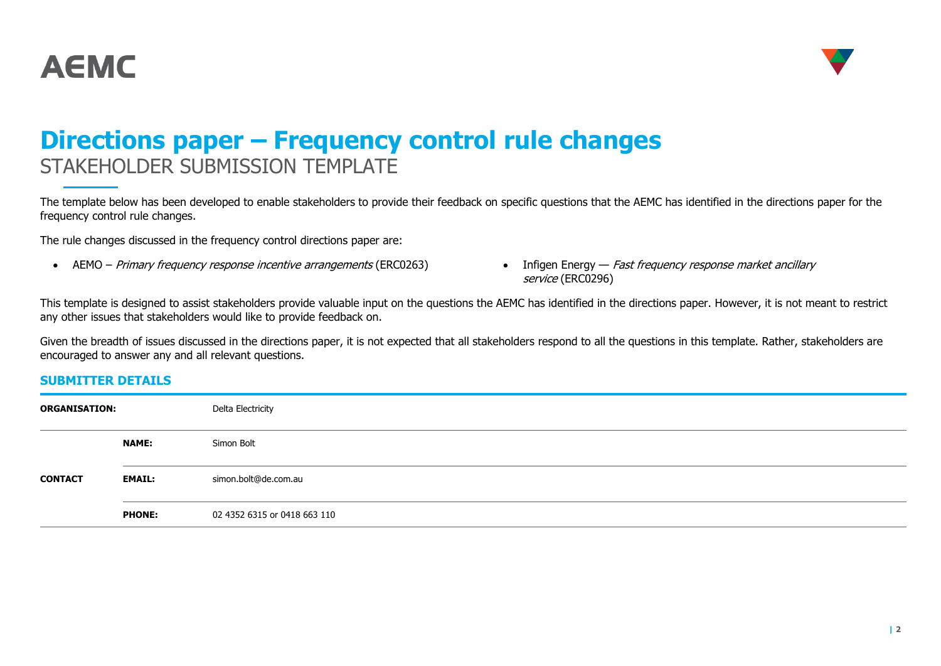



# **Directions paper – Frequency control rule changes** STAKEHOLDER SUBMISSION TEMPLATE

The template below has been developed to enable stakeholders to provide their feedback on specific questions that the AEMC has identified in the directions paper for the frequency control rule changes.

The rule changes discussed in the frequency control directions paper are:

- AEMO Primary frequency response incentive arrangements (ERC0263) Infigen Energy Fast frequency response market ancillary
- service (ERC0296)

This template is designed to assist stakeholders provide valuable input on the questions the AEMC has identified in the directions paper. However, it is not meant to restrict any other issues that stakeholders would like to provide feedback on.

Given the breadth of issues discussed in the directions paper, it is not expected that all stakeholders respond to all the questions in this template. Rather, stakeholders are encouraged to answer any and all relevant questions.

## **SUBMITTER DETAILS**

| <b>ORGANISATION:</b> |               | Delta Electricity            |
|----------------------|---------------|------------------------------|
|                      | <b>NAME:</b>  | Simon Bolt                   |
| <b>CONTACT</b>       | <b>EMAIL:</b> | simon.bolt@de.com.au         |
|                      | <b>PHONE:</b> | 02 4352 6315 or 0418 663 110 |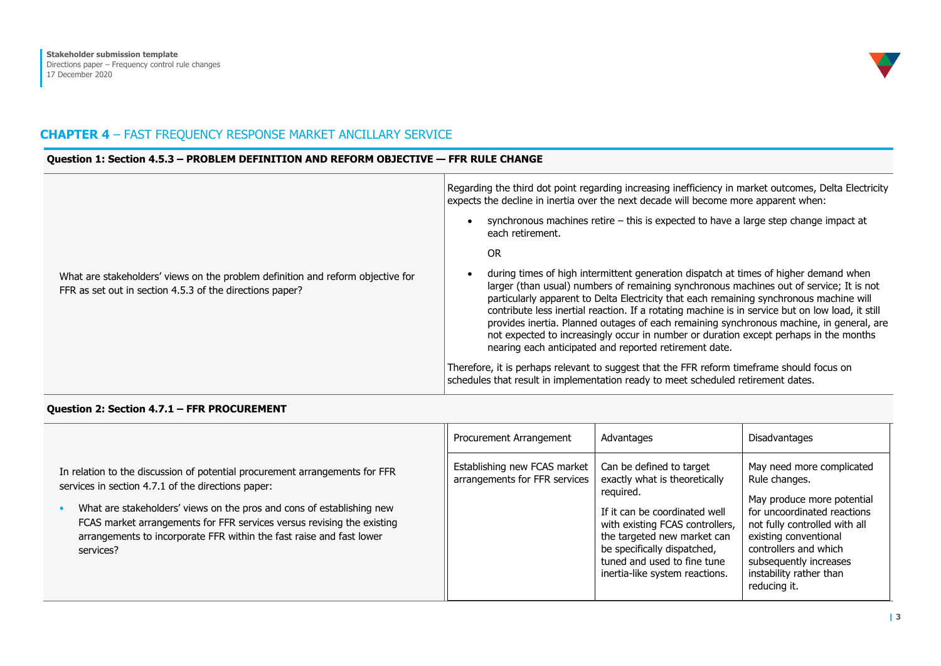

# **CHAPTER 4** – FAST FREQUENCY RESPONSE MARKET ANCILLARY SERVICE

#### **Question 1: Section 4.5.3 – PROBLEM DEFINITION AND REFORM OBJECTIVE — FFR RULE CHANGE**

| What are stakeholders' views on the problem definition and reform objective for<br>FFR as set out in section 4.5.3 of the directions paper? | Regarding the third dot point regarding increasing inefficiency in market outcomes, Delta Electricity<br>expects the decline in inertia over the next decade will become more apparent when:<br>synchronous machines retire - this is expected to have a large step change impact at<br>each retirement.<br>OR.<br>during times of high intermittent generation dispatch at times of higher demand when<br>larger (than usual) numbers of remaining synchronous machines out of service; It is not<br>particularly apparent to Delta Electricity that each remaining synchronous machine will<br>contribute less inertial reaction. If a rotating machine is in service but on low load, it still<br>provides inertia. Planned outages of each remaining synchronous machine, in general, are<br>not expected to increasingly occur in number or duration except perhaps in the months<br>nearing each anticipated and reported retirement date. |
|---------------------------------------------------------------------------------------------------------------------------------------------|--------------------------------------------------------------------------------------------------------------------------------------------------------------------------------------------------------------------------------------------------------------------------------------------------------------------------------------------------------------------------------------------------------------------------------------------------------------------------------------------------------------------------------------------------------------------------------------------------------------------------------------------------------------------------------------------------------------------------------------------------------------------------------------------------------------------------------------------------------------------------------------------------------------------------------------------------|
|                                                                                                                                             | Therefore, it is perhaps relevant to suggest that the FFR reform timeframe should focus on<br>schedules that result in implementation ready to meet scheduled retirement dates.                                                                                                                                                                                                                                                                                                                                                                                                                                                                                                                                                                                                                                                                                                                                                                  |

#### **Question 2: Section 4.7.1 – FFR PROCUREMENT**

|                                                                                                                                                                                                                                                                                                                                                                           | Procurement Arrangement                                       | Advantages                                                                                                                                                                                                                                                                | Disadvantages                                                                                                                                                                                                                                                   |
|---------------------------------------------------------------------------------------------------------------------------------------------------------------------------------------------------------------------------------------------------------------------------------------------------------------------------------------------------------------------------|---------------------------------------------------------------|---------------------------------------------------------------------------------------------------------------------------------------------------------------------------------------------------------------------------------------------------------------------------|-----------------------------------------------------------------------------------------------------------------------------------------------------------------------------------------------------------------------------------------------------------------|
| In relation to the discussion of potential procurement arrangements for FFR<br>services in section 4.7.1 of the directions paper:<br>What are stakeholders' views on the pros and cons of establishing new<br>FCAS market arrangements for FFR services versus revising the existing<br>arrangements to incorporate FFR within the fast raise and fast lower<br>services? | Establishing new FCAS market<br>arrangements for FFR services | Can be defined to target<br>exactly what is theoretically<br>required.<br>If it can be coordinated well<br>with existing FCAS controllers,<br>the targeted new market can<br>be specifically dispatched,<br>tuned and used to fine tune<br>inertia-like system reactions. | May need more complicated<br>Rule changes.<br>May produce more potential<br>for uncoordinated reactions<br>not fully controlled with all<br>existing conventional<br>controllers and which<br>subsequently increases<br>instability rather than<br>reducing it. |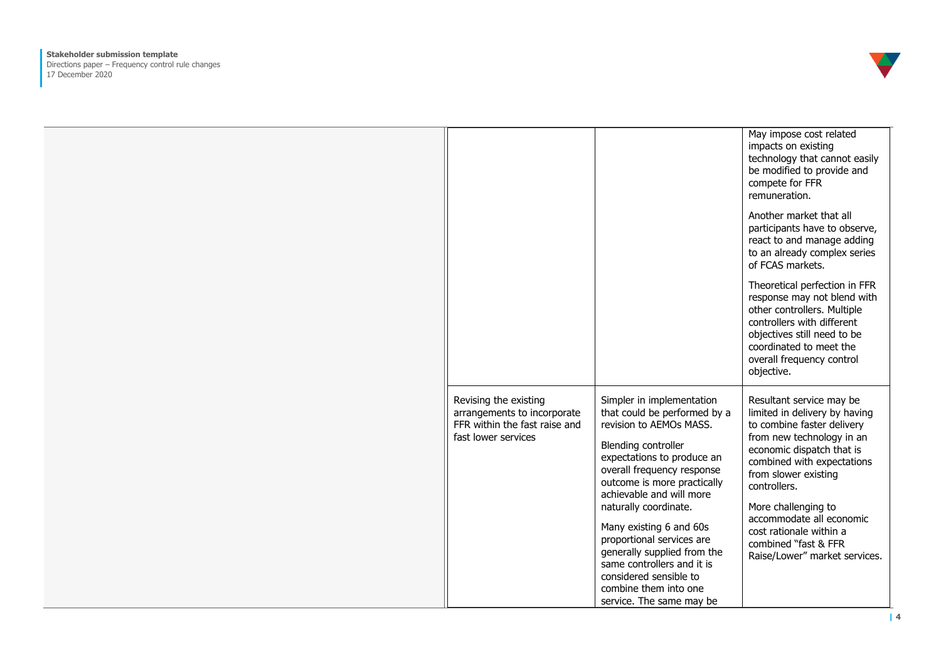

|                                                                                                              |                                                                                                                                                                                                                                                                                                                                                                                                                                                                        | May impose cost related<br>impacts on existing<br>technology that cannot easily<br>be modified to provide and<br>compete for FFR<br>remuneration.                                                                                                                                                                                                              |
|--------------------------------------------------------------------------------------------------------------|------------------------------------------------------------------------------------------------------------------------------------------------------------------------------------------------------------------------------------------------------------------------------------------------------------------------------------------------------------------------------------------------------------------------------------------------------------------------|----------------------------------------------------------------------------------------------------------------------------------------------------------------------------------------------------------------------------------------------------------------------------------------------------------------------------------------------------------------|
|                                                                                                              |                                                                                                                                                                                                                                                                                                                                                                                                                                                                        | Another market that all<br>participants have to observe,<br>react to and manage adding<br>to an already complex series<br>of FCAS markets.                                                                                                                                                                                                                     |
|                                                                                                              |                                                                                                                                                                                                                                                                                                                                                                                                                                                                        | Theoretical perfection in FFR<br>response may not blend with<br>other controllers. Multiple<br>controllers with different<br>objectives still need to be<br>coordinated to meet the<br>overall frequency control<br>objective.                                                                                                                                 |
| Revising the existing<br>arrangements to incorporate<br>FFR within the fast raise and<br>fast lower services | Simpler in implementation<br>that could be performed by a<br>revision to AEMOs MASS.<br><b>Blending controller</b><br>expectations to produce an<br>overall frequency response<br>outcome is more practically<br>achievable and will more<br>naturally coordinate.<br>Many existing 6 and 60s<br>proportional services are<br>generally supplied from the<br>same controllers and it is<br>considered sensible to<br>combine them into one<br>service. The same may be | Resultant service may be<br>limited in delivery by having<br>to combine faster delivery<br>from new technology in an<br>economic dispatch that is<br>combined with expectations<br>from slower existing<br>controllers.<br>More challenging to<br>accommodate all economic<br>cost rationale within a<br>combined "fast & FFR<br>Raise/Lower" market services. |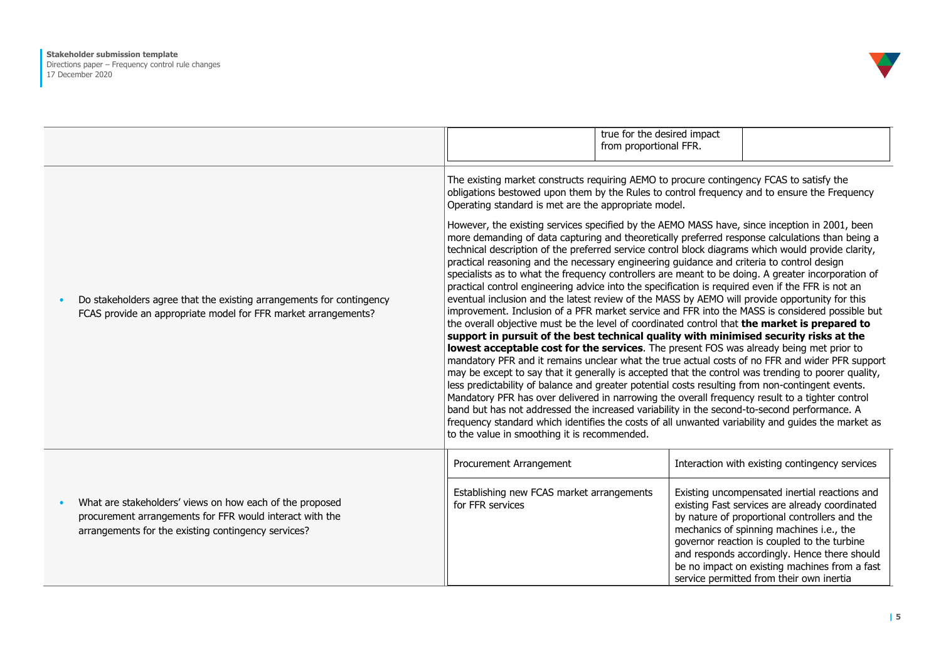

|           |                                                                                                                                                                             |                                                                                                                                                                                                                                                                                                                                                                                                                                                                                                                                                                                                                                                                                                                                                                                                                                                                                                                                                                                                                                                                                                                                                                                                                                                                                                                                                                                                                                                                                                                                                                                                                                                                                                                                                                                                                              | true for the desired impact<br>from proportional FFR. |                                                                                                                                                                                                                                                                                                                                                                                                                                            |
|-----------|-----------------------------------------------------------------------------------------------------------------------------------------------------------------------------|------------------------------------------------------------------------------------------------------------------------------------------------------------------------------------------------------------------------------------------------------------------------------------------------------------------------------------------------------------------------------------------------------------------------------------------------------------------------------------------------------------------------------------------------------------------------------------------------------------------------------------------------------------------------------------------------------------------------------------------------------------------------------------------------------------------------------------------------------------------------------------------------------------------------------------------------------------------------------------------------------------------------------------------------------------------------------------------------------------------------------------------------------------------------------------------------------------------------------------------------------------------------------------------------------------------------------------------------------------------------------------------------------------------------------------------------------------------------------------------------------------------------------------------------------------------------------------------------------------------------------------------------------------------------------------------------------------------------------------------------------------------------------------------------------------------------------|-------------------------------------------------------|--------------------------------------------------------------------------------------------------------------------------------------------------------------------------------------------------------------------------------------------------------------------------------------------------------------------------------------------------------------------------------------------------------------------------------------------|
| $\bullet$ | Do stakeholders agree that the existing arrangements for contingency<br>FCAS provide an appropriate model for FFR market arrangements?                                      | The existing market constructs requiring AEMO to procure contingency FCAS to satisfy the<br>obligations bestowed upon them by the Rules to control frequency and to ensure the Frequency<br>Operating standard is met are the appropriate model.<br>However, the existing services specified by the AEMO MASS have, since inception in 2001, been<br>more demanding of data capturing and theoretically preferred response calculations than being a<br>technical description of the preferred service control block diagrams which would provide clarity,<br>practical reasoning and the necessary engineering guidance and criteria to control design<br>specialists as to what the frequency controllers are meant to be doing. A greater incorporation of<br>practical control engineering advice into the specification is required even if the FFR is not an<br>eventual inclusion and the latest review of the MASS by AEMO will provide opportunity for this<br>the overall objective must be the level of coordinated control that the market is prepared to<br>support in pursuit of the best technical quality with minimised security risks at the<br>lowest acceptable cost for the services. The present FOS was already being met prior to<br>may be except to say that it generally is accepted that the control was trending to poorer quality,<br>less predictability of balance and greater potential costs resulting from non-contingent events.<br>Mandatory PFR has over delivered in narrowing the overall frequency result to a tighter control<br>band but has not addressed the increased variability in the second-to-second performance. A<br>frequency standard which identifies the costs of all unwanted variability and guides the market as<br>to the value in smoothing it is recommended. |                                                       | improvement. Inclusion of a PFR market service and FFR into the MASS is considered possible but<br>mandatory PFR and it remains unclear what the true actual costs of no FFR and wider PFR support                                                                                                                                                                                                                                         |
| $\bullet$ | What are stakeholders' views on how each of the proposed<br>procurement arrangements for FFR would interact with the<br>arrangements for the existing contingency services? | Procurement Arrangement<br>Establishing new FCAS market arrangements<br>for FFR services                                                                                                                                                                                                                                                                                                                                                                                                                                                                                                                                                                                                                                                                                                                                                                                                                                                                                                                                                                                                                                                                                                                                                                                                                                                                                                                                                                                                                                                                                                                                                                                                                                                                                                                                     |                                                       | Interaction with existing contingency services<br>Existing uncompensated inertial reactions and<br>existing Fast services are already coordinated<br>by nature of proportional controllers and the<br>mechanics of spinning machines i.e., the<br>governor reaction is coupled to the turbine<br>and responds accordingly. Hence there should<br>be no impact on existing machines from a fast<br>service permitted from their own inertia |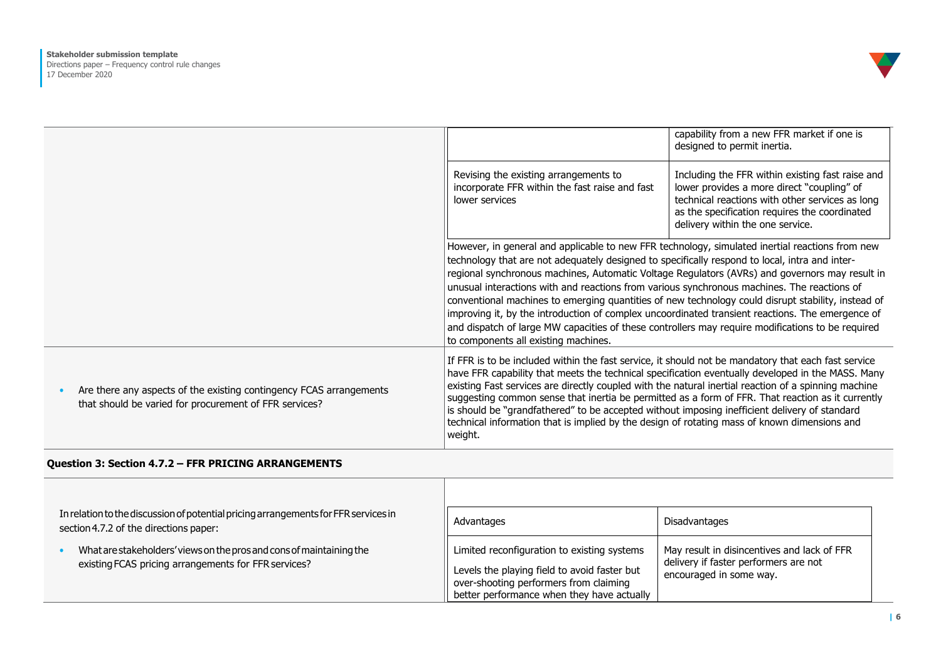

|                                                                                                                               |                                                                                                                                                                                                                                                                                                                                                                                                                                                                                                                                                                                                                                                                                                                                                           | capability from a new FFR market if one is<br>designed to permit inertia.                                                                                                                                                              |
|-------------------------------------------------------------------------------------------------------------------------------|-----------------------------------------------------------------------------------------------------------------------------------------------------------------------------------------------------------------------------------------------------------------------------------------------------------------------------------------------------------------------------------------------------------------------------------------------------------------------------------------------------------------------------------------------------------------------------------------------------------------------------------------------------------------------------------------------------------------------------------------------------------|----------------------------------------------------------------------------------------------------------------------------------------------------------------------------------------------------------------------------------------|
|                                                                                                                               | Revising the existing arrangements to<br>incorporate FFR within the fast raise and fast<br>lower services                                                                                                                                                                                                                                                                                                                                                                                                                                                                                                                                                                                                                                                 | Including the FFR within existing fast raise and<br>lower provides a more direct "coupling" of<br>technical reactions with other services as long<br>as the specification requires the coordinated<br>delivery within the one service. |
|                                                                                                                               | However, in general and applicable to new FFR technology, simulated inertial reactions from new<br>technology that are not adequately designed to specifically respond to local, intra and inter-<br>regional synchronous machines, Automatic Voltage Regulators (AVRs) and governors may result in<br>unusual interactions with and reactions from various synchronous machines. The reactions of<br>conventional machines to emerging quantities of new technology could disrupt stability, instead of<br>improving it, by the introduction of complex uncoordinated transient reactions. The emergence of<br>and dispatch of large MW capacities of these controllers may require modifications to be required<br>to components all existing machines. |                                                                                                                                                                                                                                        |
| Are there any aspects of the existing contingency FCAS arrangements<br>that should be varied for procurement of FFR services? | If FFR is to be included within the fast service, it should not be mandatory that each fast service<br>have FFR capability that meets the technical specification eventually developed in the MASS. Many<br>existing Fast services are directly coupled with the natural inertial reaction of a spinning machine<br>suggesting common sense that inertia be permitted as a form of FFR. That reaction as it currently<br>is should be "grandfathered" to be accepted without imposing inefficient delivery of standard<br>technical information that is implied by the design of rotating mass of known dimensions and<br>weight.                                                                                                                         |                                                                                                                                                                                                                                        |

## **Question 3: Section 4.7.2 – FFR PRICING ARRANGEMENTS**

| In relation to the discussion of potential pricing arrangements for FFR services in<br>section 4.7.2 of the directions paper: | Advantages                                                                                                                                                                          | Disadvantages                                                                                                   |
|-------------------------------------------------------------------------------------------------------------------------------|-------------------------------------------------------------------------------------------------------------------------------------------------------------------------------------|-----------------------------------------------------------------------------------------------------------------|
| What are stakeholders' views on the pros and cons of maintaining the<br>existing FCAS pricing arrangements for FFR services?  | Limited reconfiguration to existing systems<br>Levels the playing field to avoid faster but<br>over-shooting performers from claiming<br>better performance when they have actually | May result in disincentives and lack of FFR<br>delivery if faster performers are not<br>encouraged in some way. |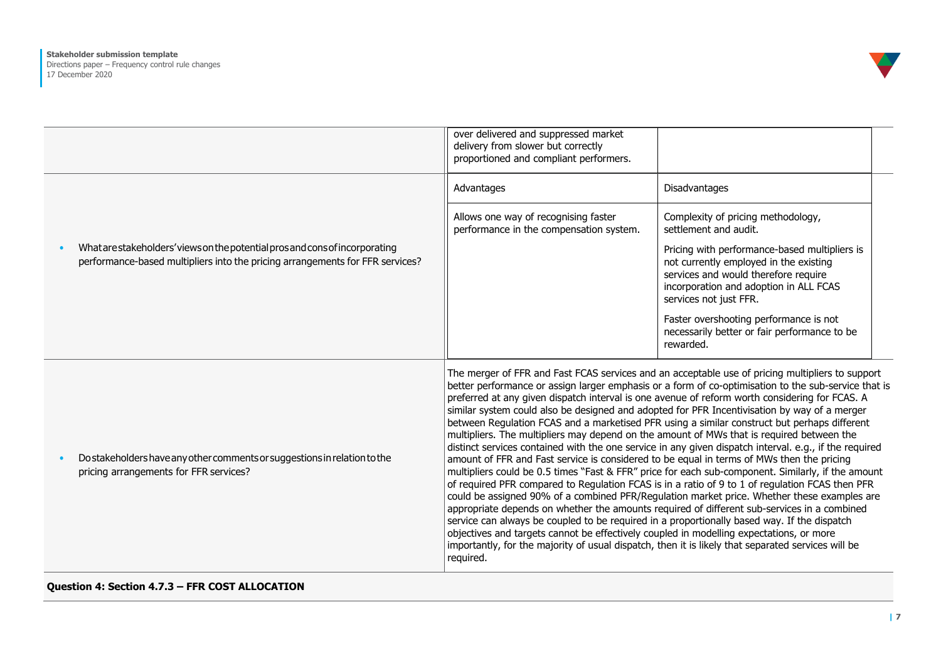

|           |                                                                                                                                                             | over delivered and suppressed market<br>delivery from slower but correctly<br>proportioned and compliant performers.                                                                                                                                                                                                                                                                                                                                                                                                                                                                                                                                                                                                                                                                                                                                                                                                                                                                                                                                                                                                                                                                                                                                                                                                                                                                                                                                                                                                               |                                                                                                                                                                                                     |  |
|-----------|-------------------------------------------------------------------------------------------------------------------------------------------------------------|------------------------------------------------------------------------------------------------------------------------------------------------------------------------------------------------------------------------------------------------------------------------------------------------------------------------------------------------------------------------------------------------------------------------------------------------------------------------------------------------------------------------------------------------------------------------------------------------------------------------------------------------------------------------------------------------------------------------------------------------------------------------------------------------------------------------------------------------------------------------------------------------------------------------------------------------------------------------------------------------------------------------------------------------------------------------------------------------------------------------------------------------------------------------------------------------------------------------------------------------------------------------------------------------------------------------------------------------------------------------------------------------------------------------------------------------------------------------------------------------------------------------------------|-----------------------------------------------------------------------------------------------------------------------------------------------------------------------------------------------------|--|
|           |                                                                                                                                                             | Advantages                                                                                                                                                                                                                                                                                                                                                                                                                                                                                                                                                                                                                                                                                                                                                                                                                                                                                                                                                                                                                                                                                                                                                                                                                                                                                                                                                                                                                                                                                                                         | Disadvantages                                                                                                                                                                                       |  |
|           |                                                                                                                                                             | Allows one way of recognising faster<br>performance in the compensation system.                                                                                                                                                                                                                                                                                                                                                                                                                                                                                                                                                                                                                                                                                                                                                                                                                                                                                                                                                                                                                                                                                                                                                                                                                                                                                                                                                                                                                                                    | Complexity of pricing methodology,<br>settlement and audit.                                                                                                                                         |  |
| $\bullet$ | What are stakeholders' views on the potential prosand consof incorporating<br>performance-based multipliers into the pricing arrangements for FFR services? |                                                                                                                                                                                                                                                                                                                                                                                                                                                                                                                                                                                                                                                                                                                                                                                                                                                                                                                                                                                                                                                                                                                                                                                                                                                                                                                                                                                                                                                                                                                                    | Pricing with performance-based multipliers is<br>not currently employed in the existing<br>services and would therefore require<br>incorporation and adoption in ALL FCAS<br>services not just FFR. |  |
|           |                                                                                                                                                             |                                                                                                                                                                                                                                                                                                                                                                                                                                                                                                                                                                                                                                                                                                                                                                                                                                                                                                                                                                                                                                                                                                                                                                                                                                                                                                                                                                                                                                                                                                                                    | Faster overshooting performance is not<br>necessarily better or fair performance to be<br>rewarded.                                                                                                 |  |
|           | Do stakeholders have any other comments or suggestions in relation to the<br>pricing arrangements for FFR services?                                         | The merger of FFR and Fast FCAS services and an acceptable use of pricing multipliers to support<br>better performance or assign larger emphasis or a form of co-optimisation to the sub-service that is<br>preferred at any given dispatch interval is one avenue of reform worth considering for FCAS. A<br>similar system could also be designed and adopted for PFR Incentivisation by way of a merger<br>between Regulation FCAS and a marketised PFR using a similar construct but perhaps different<br>multipliers. The multipliers may depend on the amount of MWs that is required between the<br>distinct services contained with the one service in any given dispatch interval. e.g., if the required<br>amount of FFR and Fast service is considered to be equal in terms of MWs then the pricing<br>multipliers could be 0.5 times "Fast & FFR" price for each sub-component. Similarly, if the amount<br>of required PFR compared to Regulation FCAS is in a ratio of 9 to 1 of regulation FCAS then PFR<br>could be assigned 90% of a combined PFR/Regulation market price. Whether these examples are<br>appropriate depends on whether the amounts required of different sub-services in a combined<br>service can always be coupled to be required in a proportionally based way. If the dispatch<br>objectives and targets cannot be effectively coupled in modelling expectations, or more<br>importantly, for the majority of usual dispatch, then it is likely that separated services will be<br>required. |                                                                                                                                                                                                     |  |

#### **Question 4: Section 4.7.3 – FFR COST ALLOCATION**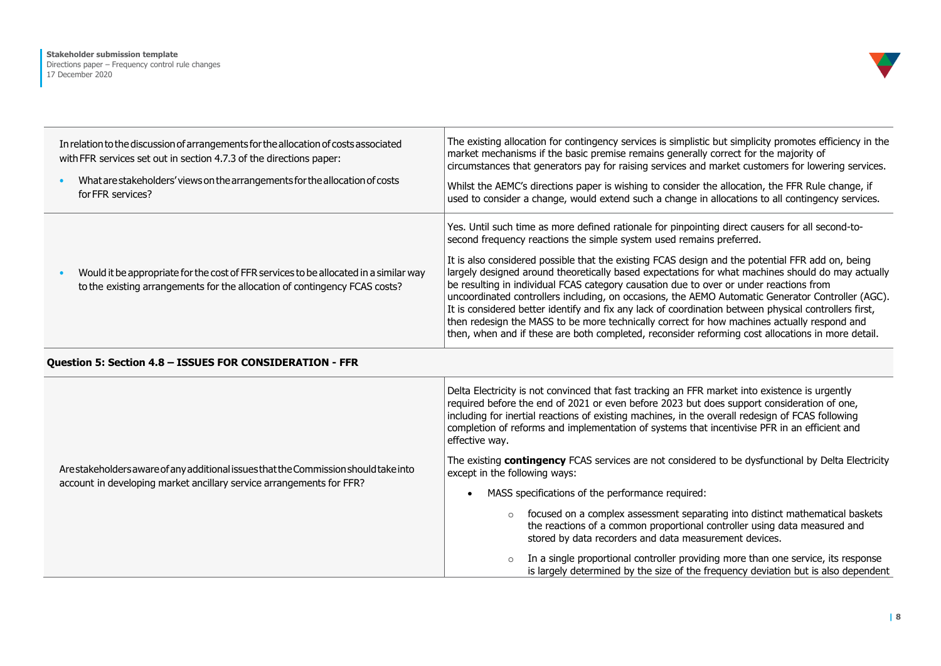

| In relation to the discussion of arrangements for the allocation of costs associated<br>with FFR services set out in section 4.7.3 of the directions paper:<br>What are stakeholders' views on the arrangements for the allocation of costs<br>for FFR services? | The existing allocation for contingency services is simplistic but simplicity promotes efficiency in the<br>market mechanisms if the basic premise remains generally correct for the majority of<br>circumstances that generators pay for raising services and market customers for lowering services.<br>Whilst the AEMC's directions paper is wishing to consider the allocation, the FFR Rule change, if<br>used to consider a change, would extend such a change in allocations to all contingency services.                                                                                                                                                                                                                                                                                                                                                                              |
|------------------------------------------------------------------------------------------------------------------------------------------------------------------------------------------------------------------------------------------------------------------|-----------------------------------------------------------------------------------------------------------------------------------------------------------------------------------------------------------------------------------------------------------------------------------------------------------------------------------------------------------------------------------------------------------------------------------------------------------------------------------------------------------------------------------------------------------------------------------------------------------------------------------------------------------------------------------------------------------------------------------------------------------------------------------------------------------------------------------------------------------------------------------------------|
| Would it be appropriate for the cost of FFR services to be allocated in a similar way<br>to the existing arrangements for the allocation of contingency FCAS costs?                                                                                              | Yes. Until such time as more defined rationale for pinpointing direct causers for all second-to-<br>second frequency reactions the simple system used remains preferred.<br>It is also considered possible that the existing FCAS design and the potential FFR add on, being<br>largely designed around theoretically based expectations for what machines should do may actually<br>be resulting in individual FCAS category causation due to over or under reactions from<br>uncoordinated controllers including, on occasions, the AEMO Automatic Generator Controller (AGC).<br>It is considered better identify and fix any lack of coordination between physical controllers first,<br>then redesign the MASS to be more technically correct for how machines actually respond and<br>then, when and if these are both completed, reconsider reforming cost allocations in more detail. |
| Question 5: Section 4.8 - ISSUES FOR CONSIDERATION - FFR                                                                                                                                                                                                         |                                                                                                                                                                                                                                                                                                                                                                                                                                                                                                                                                                                                                                                                                                                                                                                                                                                                                               |
|                                                                                                                                                                                                                                                                  | Delta Electricity is not convinced that fast tracking an FFR market into existence is urgently<br>required before the end of 2021 or even before 2023 but does support consideration of one,<br>including for inertial reactions of existing machines, in the overall redesign of FCAS following<br>to collection of cofficient and the description of continued that the colt the INFINITY of Coffettion and                                                                                                                                                                                                                                                                                                                                                                                                                                                                                 |

ArestakeholdersawareofanyadditionalissuesthattheCommissionshouldtakeinto account in developing market ancillary service arrangements for FFR?

completion of reforms and implementation of systems that incentivise PFR in an efficient and effective way.

The existing **contingency** FCAS services are not considered to be dysfunctional by Delta Electricity except in the following ways:

- MASS specifications of the performance required:
	- o focused on a complex assessment separating into distinct mathematical baskets the reactions of a common proportional controller using data measured and stored by data recorders and data measurement devices.
	- o In a single proportional controller providing more than one service, its response is largely determined by the size of the frequency deviation but is also dependent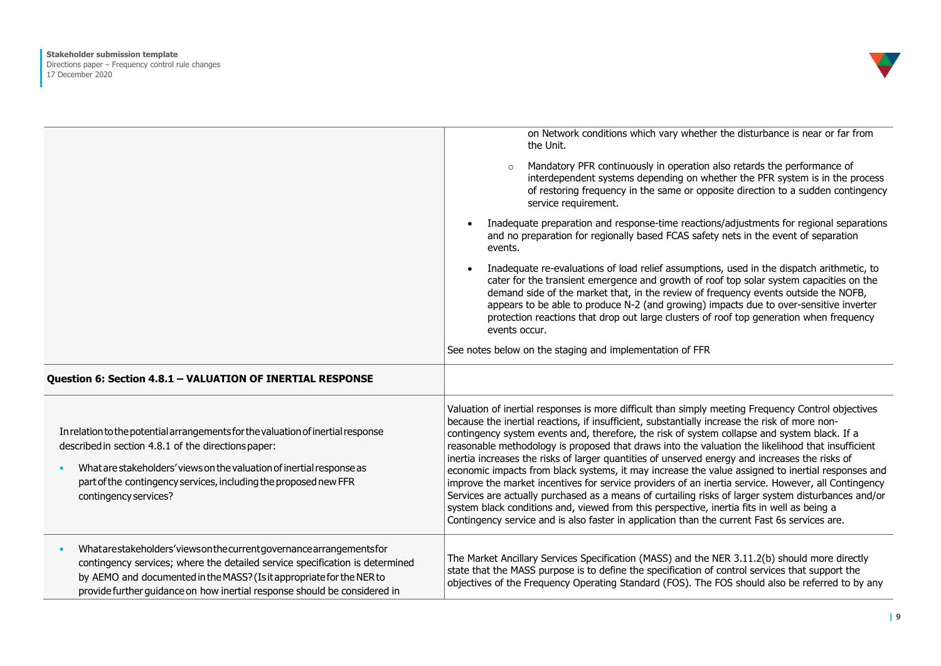

|                                                                                                                                                                                                                                                                                                               | on Network conditions which vary whether the disturbance is near or far from<br>the Unit.                                                                                                                                                                                                                                                                                                                                                                                                                                                                                                                                                                                                                                                                                                                                                                                                                                                                                                                                   |
|---------------------------------------------------------------------------------------------------------------------------------------------------------------------------------------------------------------------------------------------------------------------------------------------------------------|-----------------------------------------------------------------------------------------------------------------------------------------------------------------------------------------------------------------------------------------------------------------------------------------------------------------------------------------------------------------------------------------------------------------------------------------------------------------------------------------------------------------------------------------------------------------------------------------------------------------------------------------------------------------------------------------------------------------------------------------------------------------------------------------------------------------------------------------------------------------------------------------------------------------------------------------------------------------------------------------------------------------------------|
|                                                                                                                                                                                                                                                                                                               | Mandatory PFR continuously in operation also retards the performance of<br>interdependent systems depending on whether the PFR system is in the process<br>of restoring frequency in the same or opposite direction to a sudden contingency<br>service requirement.                                                                                                                                                                                                                                                                                                                                                                                                                                                                                                                                                                                                                                                                                                                                                         |
|                                                                                                                                                                                                                                                                                                               | Inadequate preparation and response-time reactions/adjustments for regional separations<br>$\bullet$<br>and no preparation for regionally based FCAS safety nets in the event of separation<br>events.                                                                                                                                                                                                                                                                                                                                                                                                                                                                                                                                                                                                                                                                                                                                                                                                                      |
|                                                                                                                                                                                                                                                                                                               | Inadequate re-evaluations of load relief assumptions, used in the dispatch arithmetic, to<br>cater for the transient emergence and growth of roof top solar system capacities on the<br>demand side of the market that, in the review of frequency events outside the NOFB,<br>appears to be able to produce N-2 (and growing) impacts due to over-sensitive inverter<br>protection reactions that drop out large clusters of roof top generation when frequency<br>events occur.                                                                                                                                                                                                                                                                                                                                                                                                                                                                                                                                           |
|                                                                                                                                                                                                                                                                                                               | See notes below on the staging and implementation of FFR                                                                                                                                                                                                                                                                                                                                                                                                                                                                                                                                                                                                                                                                                                                                                                                                                                                                                                                                                                    |
| Question 6: Section 4.8.1 - VALUATION OF INERTIAL RESPONSE                                                                                                                                                                                                                                                    |                                                                                                                                                                                                                                                                                                                                                                                                                                                                                                                                                                                                                                                                                                                                                                                                                                                                                                                                                                                                                             |
| In relation to the potential arrangements for the valuation of inertial response<br>described in section 4.8.1 of the directions paper:<br>What are stakeholders' views on the valuation of inertial response as<br>part of the contingency services, including the proposed new FFR<br>contingency services? | Valuation of inertial responses is more difficult than simply meeting Frequency Control objectives<br>because the inertial reactions, if insufficient, substantially increase the risk of more non-<br>contingency system events and, therefore, the risk of system collapse and system black. If a<br>reasonable methodology is proposed that draws into the valuation the likelihood that insufficient<br>inertia increases the risks of larger quantities of unserved energy and increases the risks of<br>economic impacts from black systems, it may increase the value assigned to inertial responses and<br>improve the market incentives for service providers of an inertia service. However, all Contingency<br>Services are actually purchased as a means of curtailing risks of larger system disturbances and/or<br>system black conditions and, viewed from this perspective, inertia fits in well as being a<br>Contingency service and is also faster in application than the current Fast 6s services are. |
| Whatarestakeholders'viewsonthecurrentgovernancearrangementsfor<br>contingency services; where the detailed service specification is determined<br>by AEMO and documented in the MASS? (Is it appropriate for the NER to<br>provide further quidance on how inertial response should be considered in          | The Market Ancillary Services Specification (MASS) and the NER 3.11.2(b) should more directly<br>state that the MASS purpose is to define the specification of control services that support the<br>objectives of the Frequency Operating Standard (FOS). The FOS should also be referred to by any                                                                                                                                                                                                                                                                                                                                                                                                                                                                                                                                                                                                                                                                                                                         |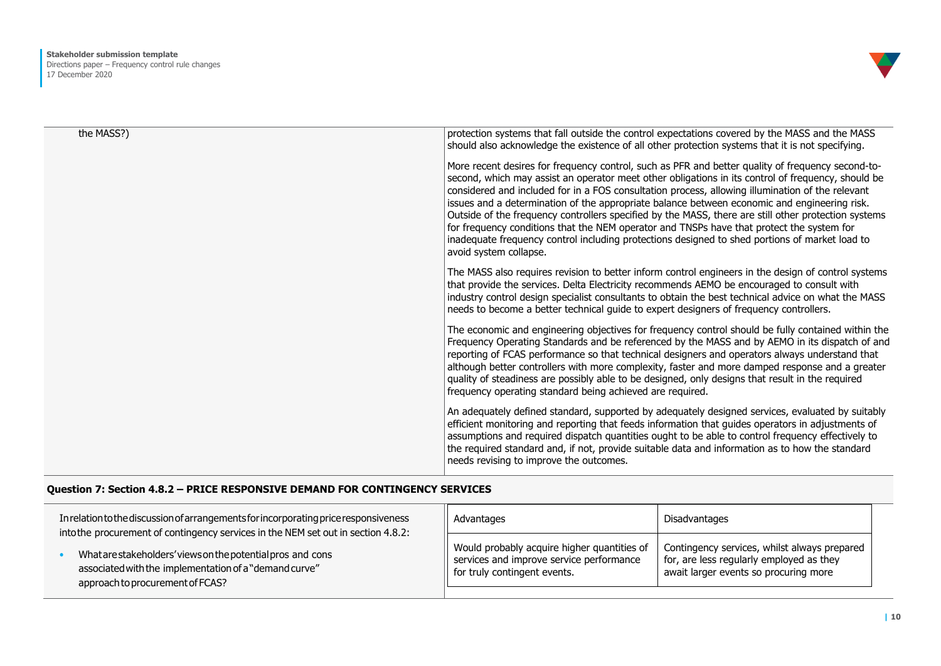

| the MASS?) | protection systems that fall outside the control expectations covered by the MASS and the MASS<br>should also acknowledge the existence of all other protection systems that it is not specifying.<br>More recent desires for frequency control, such as PFR and better quality of frequency second-to-<br>second, which may assist an operator meet other obligations in its control of frequency, should be<br>considered and included for in a FOS consultation process, allowing illumination of the relevant<br>issues and a determination of the appropriate balance between economic and engineering risk.<br>Outside of the frequency controllers specified by the MASS, there are still other protection systems<br>for frequency conditions that the NEM operator and TNSPs have that protect the system for<br>inadequate frequency control including protections designed to shed portions of market load to<br>avoid system collapse. |
|------------|----------------------------------------------------------------------------------------------------------------------------------------------------------------------------------------------------------------------------------------------------------------------------------------------------------------------------------------------------------------------------------------------------------------------------------------------------------------------------------------------------------------------------------------------------------------------------------------------------------------------------------------------------------------------------------------------------------------------------------------------------------------------------------------------------------------------------------------------------------------------------------------------------------------------------------------------------|
|            | The MASS also requires revision to better inform control engineers in the design of control systems<br>that provide the services. Delta Electricity recommends AEMO be encouraged to consult with<br>industry control design specialist consultants to obtain the best technical advice on what the MASS<br>needs to become a better technical guide to expert designers of frequency controllers.                                                                                                                                                                                                                                                                                                                                                                                                                                                                                                                                                 |
|            | The economic and engineering objectives for frequency control should be fully contained within the<br>Frequency Operating Standards and be referenced by the MASS and by AEMO in its dispatch of and<br>reporting of FCAS performance so that technical designers and operators always understand that<br>although better controllers with more complexity, faster and more damped response and a greater<br>quality of steadiness are possibly able to be designed, only designs that result in the required<br>frequency operating standard being achieved are required.                                                                                                                                                                                                                                                                                                                                                                         |
|            | An adequately defined standard, supported by adequately designed services, evaluated by suitably<br>efficient monitoring and reporting that feeds information that guides operators in adjustments of<br>assumptions and required dispatch quantities ought to be able to control frequency effectively to<br>the required standard and, if not, provide suitable data and information as to how the standard<br>needs revising to improve the outcomes.                                                                                                                                                                                                                                                                                                                                                                                                                                                                                           |

## **Question 7: Section 4.8.2 – PRICE RESPONSIVE DEMAND FOR CONTINGENCY SERVICES**

| In relation to the discussion of arrangements for incorporating price responsiveness<br>into the procurement of contingency services in the NEM set out in section 4.8.2: | Advantages                                  | Disadvantages                                |
|---------------------------------------------------------------------------------------------------------------------------------------------------------------------------|---------------------------------------------|----------------------------------------------|
| What are stakeholders' views on the potential pros and cons                                                                                                               | Would probably acquire higher quantities of | Contingency services, whilst always prepared |
| associated with the implementation of a "demand curve"                                                                                                                    | services and improve service performance    | for, are less regularly employed as they     |
| approach to procurement of FCAS?                                                                                                                                          | for truly contingent events.                | await larger events so procuring more        |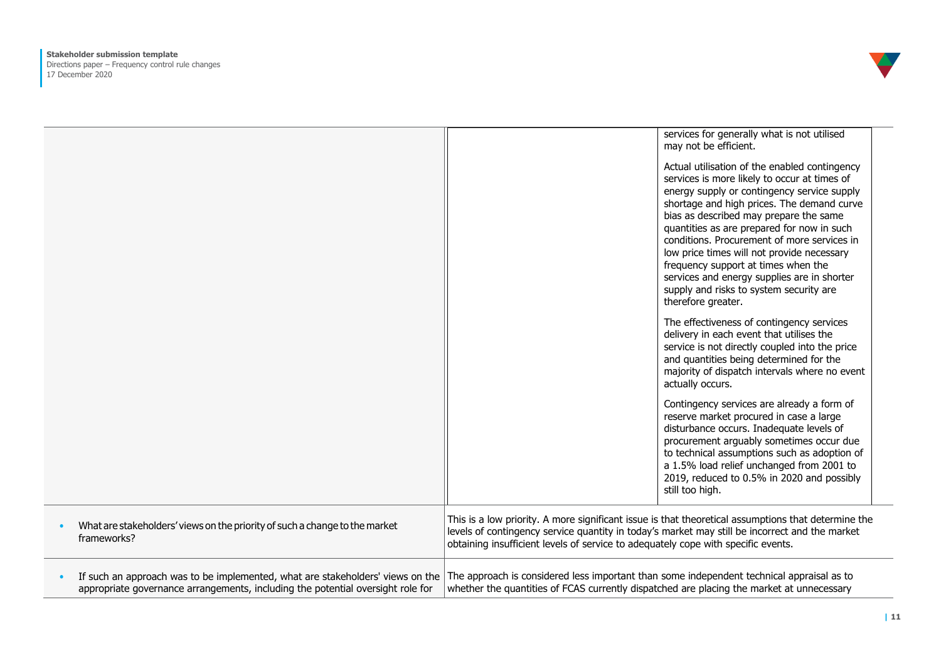

|                                                                                                                                                                   | services for generally what is not utilised<br>may not be efficient.                                                                                                                                                                                                                                                                                                                                                                                                                                                                   |
|-------------------------------------------------------------------------------------------------------------------------------------------------------------------|----------------------------------------------------------------------------------------------------------------------------------------------------------------------------------------------------------------------------------------------------------------------------------------------------------------------------------------------------------------------------------------------------------------------------------------------------------------------------------------------------------------------------------------|
|                                                                                                                                                                   | Actual utilisation of the enabled contingency<br>services is more likely to occur at times of<br>energy supply or contingency service supply<br>shortage and high prices. The demand curve<br>bias as described may prepare the same<br>quantities as are prepared for now in such<br>conditions. Procurement of more services in<br>low price times will not provide necessary<br>frequency support at times when the<br>services and energy supplies are in shorter<br>supply and risks to system security are<br>therefore greater. |
|                                                                                                                                                                   | The effectiveness of contingency services<br>delivery in each event that utilises the<br>service is not directly coupled into the price<br>and quantities being determined for the<br>majority of dispatch intervals where no event<br>actually occurs.                                                                                                                                                                                                                                                                                |
|                                                                                                                                                                   | Contingency services are already a form of<br>reserve market procured in case a large<br>disturbance occurs. Inadequate levels of<br>procurement arguably sometimes occur due<br>to technical assumptions such as adoption of<br>a 1.5% load relief unchanged from 2001 to<br>2019, reduced to 0.5% in 2020 and possibly<br>still too high.                                                                                                                                                                                            |
| What are stakeholders' views on the priority of such a change to the market<br>frameworks?                                                                        | This is a low priority. A more significant issue is that theoretical assumptions that determine the<br>levels of contingency service quantity in today's market may still be incorrect and the market<br>obtaining insufficient levels of service to adequately cope with specific events.                                                                                                                                                                                                                                             |
| If such an approach was to be implemented, what are stakeholders' views on the<br>appropriate governance arrangements, including the potential oversight role for | The approach is considered less important than some independent technical appraisal as to<br>whether the quantities of FCAS currently dispatched are placing the market at unnecessary                                                                                                                                                                                                                                                                                                                                                 |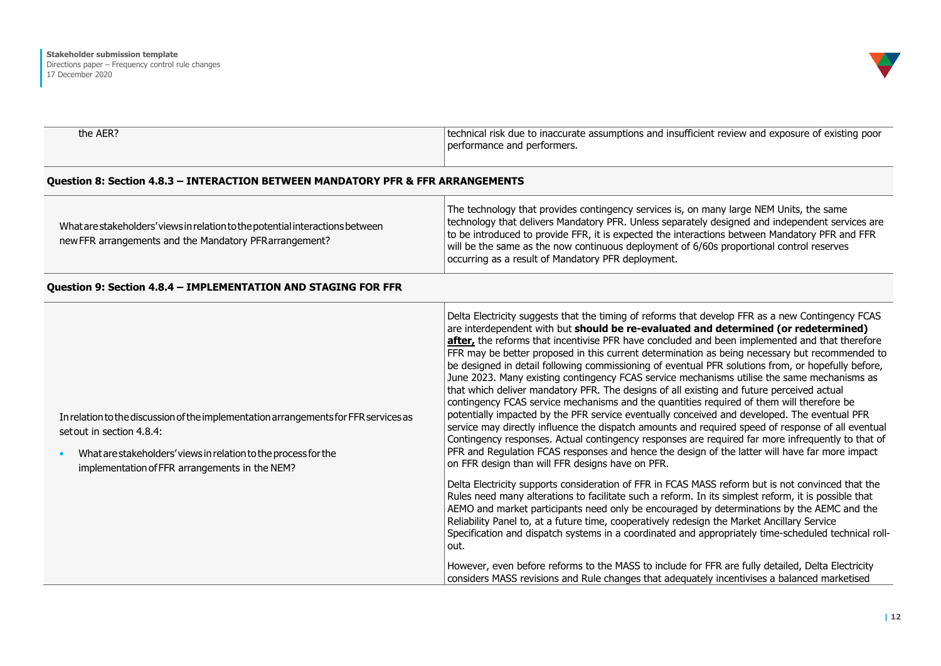

| technical risk due to inaccurate assumptions and insufficient review and exposure of existing poor |
|----------------------------------------------------------------------------------------------------|
| performance and performers.                                                                        |
|                                                                                                    |

#### **Question 8: Section 4.8.3 – INTERACTION BETWEEN MANDATORY PFR & FFR ARRANGEMENTS**

| What are stakeholders' views in relation to the potential interactions between<br>new FFR arrangements and the Mandatory PFR arrangement? | The technology that provides contingency services is, on many large NEM Units, the same<br>technology that delivers Mandatory PFR. Unless separately designed and independent services are<br>to be introduced to provide FFR, it is expected the interactions between Mandatory PFR and FFR<br>will be the same as the now continuous deployment of 6/60s proportional control reserves<br>occurring as a result of Mandatory PFR deployment. |
|-------------------------------------------------------------------------------------------------------------------------------------------|------------------------------------------------------------------------------------------------------------------------------------------------------------------------------------------------------------------------------------------------------------------------------------------------------------------------------------------------------------------------------------------------------------------------------------------------|
|-------------------------------------------------------------------------------------------------------------------------------------------|------------------------------------------------------------------------------------------------------------------------------------------------------------------------------------------------------------------------------------------------------------------------------------------------------------------------------------------------------------------------------------------------------------------------------------------------|

#### **Question 9: Section 4.8.4 – IMPLEMENTATION AND STAGING FOR FFR**

| In relation to the discussion of the implementation arrangements for FFR services as<br>set out in section 4.8.4:<br>What are stakeholders' views in relation to the process for the<br>implementation of FFR arrangements in the NEM? | Delta Electricity suggests that the timing of reforms that develop FFR as a new Contingency FCAS<br>are interdependent with but should be re-evaluated and determined (or redetermined)<br>after, the reforms that incentivise PFR have concluded and been implemented and that therefore<br>FFR may be better proposed in this current determination as being necessary but recommended to<br>be designed in detail following commissioning of eventual PFR solutions from, or hopefully before,<br>June 2023. Many existing contingency FCAS service mechanisms utilise the same mechanisms as<br>that which deliver mandatory PFR. The designs of all existing and future perceived actual<br>contingency FCAS service mechanisms and the quantities required of them will therefore be<br>potentially impacted by the PFR service eventually conceived and developed. The eventual PFR<br>service may directly influence the dispatch amounts and required speed of response of all eventual<br>Contingency responses. Actual contingency responses are required far more infrequently to that of<br>PFR and Regulation FCAS responses and hence the design of the latter will have far more impact<br>on FFR design than will FFR designs have on PFR. |
|----------------------------------------------------------------------------------------------------------------------------------------------------------------------------------------------------------------------------------------|-------------------------------------------------------------------------------------------------------------------------------------------------------------------------------------------------------------------------------------------------------------------------------------------------------------------------------------------------------------------------------------------------------------------------------------------------------------------------------------------------------------------------------------------------------------------------------------------------------------------------------------------------------------------------------------------------------------------------------------------------------------------------------------------------------------------------------------------------------------------------------------------------------------------------------------------------------------------------------------------------------------------------------------------------------------------------------------------------------------------------------------------------------------------------------------------------------------------------------------------------------------|
|                                                                                                                                                                                                                                        | Delta Electricity supports consideration of FFR in FCAS MASS reform but is not convinced that the<br>Rules need many alterations to facilitate such a reform. In its simplest reform, it is possible that<br>AEMO and market participants need only be encouraged by determinations by the AEMC and the<br>Reliability Panel to, at a future time, cooperatively redesign the Market Ancillary Service<br>Specification and dispatch systems in a coordinated and appropriately time-scheduled technical roll-<br>out.<br>However, even before reforms to the MASS to include for FFR are fully detailed, Delta Electricity<br>considers MASS revisions and Rule changes that adequately incentivises a balanced marketised                                                                                                                                                                                                                                                                                                                                                                                                                                                                                                                                 |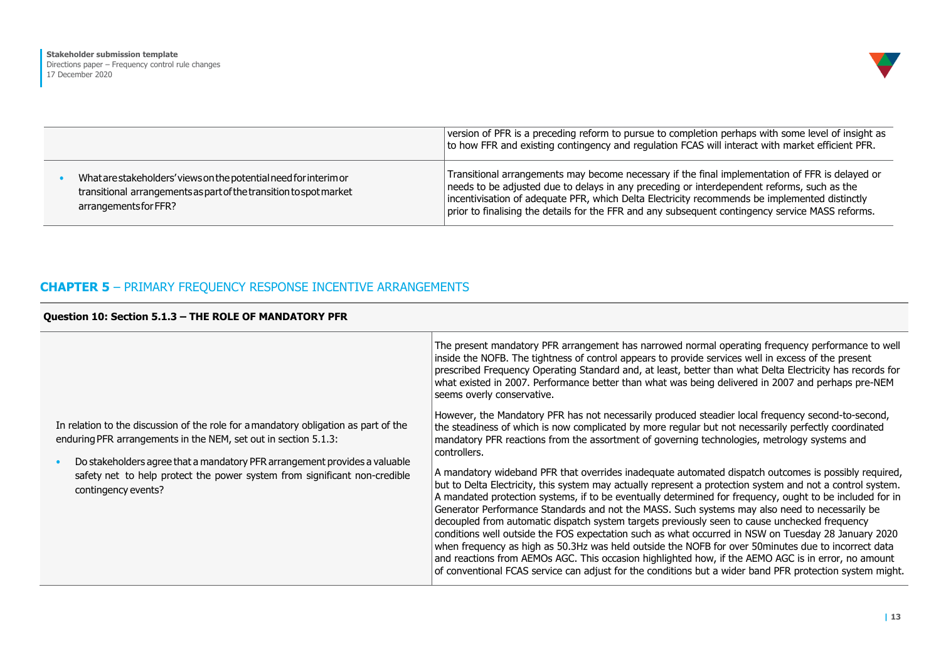|                  | Directions paper - Frequency control rule changes |  |  |
|------------------|---------------------------------------------------|--|--|
| 17 December 2020 |                                                   |  |  |

|                                                                                                                                                                  | version of PFR is a preceding reform to pursue to completion perhaps with some level of insight as<br>to how FFR and existing contingency and regulation FCAS will interact with market efficient PFR.                                                                                                                                                                                             |
|------------------------------------------------------------------------------------------------------------------------------------------------------------------|----------------------------------------------------------------------------------------------------------------------------------------------------------------------------------------------------------------------------------------------------------------------------------------------------------------------------------------------------------------------------------------------------|
| What are stakeholders' views on the potential need for interim or<br>transitional arrangements as part of the transition to spot market<br>arrangements for FFR? | Transitional arrangements may become necessary if the final implementation of FFR is delayed or<br>needs to be adjusted due to delays in any preceding or interdependent reforms, such as the<br>incentivisation of adequate PFR, which Delta Electricity recommends be implemented distinctly<br>prior to finalising the details for the FFR and any subsequent contingency service MASS reforms. |

# **CHAPTER 5** – PRIMARY FREQUENCY RESPONSE INCENTIVE ARRANGEMENTS

|  | Question 10: Section 5.1.3 - THE ROLE OF MANDATORY PFR |  |  |  |  |
|--|--------------------------------------------------------|--|--|--|--|

|                                                                                                                                                                                                                                      | The present mandatory PFR arrangement has narrowed normal operating frequency performance to well<br>inside the NOFB. The tightness of control appears to provide services well in excess of the present<br>prescribed Frequency Operating Standard and, at least, better than what Delta Electricity has records for<br>what existed in 2007. Performance better than what was being delivered in 2007 and perhaps pre-NEM<br>seems overly conservative.                                                                                                                                                                                                                                                                                                                                                                                                                                                                                                          |
|--------------------------------------------------------------------------------------------------------------------------------------------------------------------------------------------------------------------------------------|--------------------------------------------------------------------------------------------------------------------------------------------------------------------------------------------------------------------------------------------------------------------------------------------------------------------------------------------------------------------------------------------------------------------------------------------------------------------------------------------------------------------------------------------------------------------------------------------------------------------------------------------------------------------------------------------------------------------------------------------------------------------------------------------------------------------------------------------------------------------------------------------------------------------------------------------------------------------|
| In relation to the discussion of the role for a mandatory obligation as part of the<br>enduring PFR arrangements in the NEM, set out in section 5.1.3:<br>Do stakeholders agree that a mandatory PFR arrangement provides a valuable | However, the Mandatory PFR has not necessarily produced steadier local frequency second-to-second,<br>the steadiness of which is now complicated by more regular but not necessarily perfectly coordinated<br>mandatory PFR reactions from the assortment of governing technologies, metrology systems and<br>controllers.                                                                                                                                                                                                                                                                                                                                                                                                                                                                                                                                                                                                                                         |
| safety net to help protect the power system from significant non-credible<br>contingency events?                                                                                                                                     | A mandatory wideband PFR that overrides inadequate automated dispatch outcomes is possibly required,<br>but to Delta Electricity, this system may actually represent a protection system and not a control system.<br>A mandated protection systems, if to be eventually determined for frequency, ought to be included for in<br>Generator Performance Standards and not the MASS. Such systems may also need to necessarily be<br>decoupled from automatic dispatch system targets previously seen to cause unchecked frequency<br>conditions well outside the FOS expectation such as what occurred in NSW on Tuesday 28 January 2020<br>when frequency as high as 50.3Hz was held outside the NOFB for over 50minutes due to incorrect data<br>and reactions from AEMOs AGC. This occasion highlighted how, if the AEMO AGC is in error, no amount<br>of conventional FCAS service can adjust for the conditions but a wider band PFR protection system might. |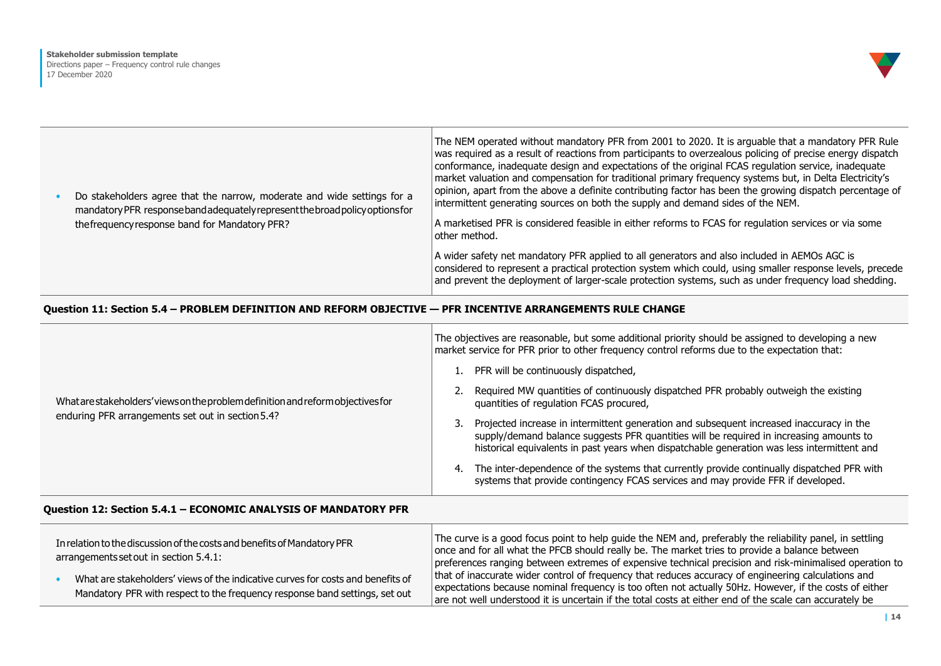

|  | Do stakeholders agree that the narrow, moderate and wide settings for a<br>mandatory PFR responseband adequately represent the broad policy options for | The NEM operated without mandatory PFR from 2001 to 2020. It is arguable that a mandatory PFR Rule<br>was required as a result of reactions from participants to overzealous policing of precise energy dispatch<br>conformance, inadequate design and expectations of the original FCAS regulation service, inadequate<br>market valuation and compensation for traditional primary frequency systems but, in Delta Electricity's<br>opinion, apart from the above a definite contributing factor has been the growing dispatch percentage of<br>intermittent generating sources on both the supply and demand sides of the NEM. |
|--|---------------------------------------------------------------------------------------------------------------------------------------------------------|-----------------------------------------------------------------------------------------------------------------------------------------------------------------------------------------------------------------------------------------------------------------------------------------------------------------------------------------------------------------------------------------------------------------------------------------------------------------------------------------------------------------------------------------------------------------------------------------------------------------------------------|
|  | the frequency response band for Mandatory PFR?                                                                                                          | A marketised PFR is considered feasible in either reforms to FCAS for regulation services or via some<br>other method.                                                                                                                                                                                                                                                                                                                                                                                                                                                                                                            |
|  |                                                                                                                                                         | A wider safety net mandatory PFR applied to all generators and also included in AEMOs AGC is<br>considered to represent a practical protection system which could, using smaller response levels, precede<br>and prevent the deployment of larger-scale protection systems, such as under frequency load shedding.                                                                                                                                                                                                                                                                                                                |

# **Question 11: Section 5.4 – PROBLEM DEFINITION AND REFORM OBJECTIVE — PFR INCENTIVE ARRANGEMENTS RULE CHANGE**

|                                                                                                                                       | The objectives are reasonable, but some additional priority should be assigned to developing a new<br>market service for PFR prior to other frequency control reforms due to the expectation that:                                                                                       |
|---------------------------------------------------------------------------------------------------------------------------------------|------------------------------------------------------------------------------------------------------------------------------------------------------------------------------------------------------------------------------------------------------------------------------------------|
|                                                                                                                                       | PFR will be continuously dispatched,                                                                                                                                                                                                                                                     |
| What are stakeholders' views on the problem definition and reform objectives for<br>enduring PFR arrangements set out in section 5.4? | Required MW quantities of continuously dispatched PFR probably outweigh the existing<br>quantities of regulation FCAS procured,                                                                                                                                                          |
|                                                                                                                                       | Projected increase in intermittent generation and subsequent increased inaccuracy in the<br>3.<br>supply/demand balance suggests PFR quantities will be required in increasing amounts to<br>historical equivalents in past years when dispatchable generation was less intermittent and |
|                                                                                                                                       | The inter-dependence of the systems that currently provide continually dispatched PFR with<br>4.<br>systems that provide contingency FCAS services and may provide FFR if developed.                                                                                                     |

## **Question 12: Section 5.4.1 – ECONOMIC ANALYSIS OF MANDATORY PFR**

| In relation to the discussion of the costs and benefits of Mandatory PFR<br>arrangements set out in section 5.4.1: |                                                                                 | The curve is a good focus point to help guide the NEM and, preferably the reliability panel, in settling<br>once and for all what the PFCB should really be. The market tries to provide a balance between<br>preferences ranging between extremes of expensive technical precision and risk-minimalised operation to |
|--------------------------------------------------------------------------------------------------------------------|---------------------------------------------------------------------------------|-----------------------------------------------------------------------------------------------------------------------------------------------------------------------------------------------------------------------------------------------------------------------------------------------------------------------|
|                                                                                                                    | What are stakeholders' views of the indicative curves for costs and benefits of | that of inaccurate wider control of frequency that reduces accuracy of engineering calculations and                                                                                                                                                                                                                   |
|                                                                                                                    | Mandatory PFR with respect to the frequency response band settings, set out     | expectations because nominal frequency is too often not actually 50Hz. However, if the costs of either                                                                                                                                                                                                                |
|                                                                                                                    |                                                                                 | are not well understood it is uncertain if the total costs at either end of the scale can accurately be                                                                                                                                                                                                               |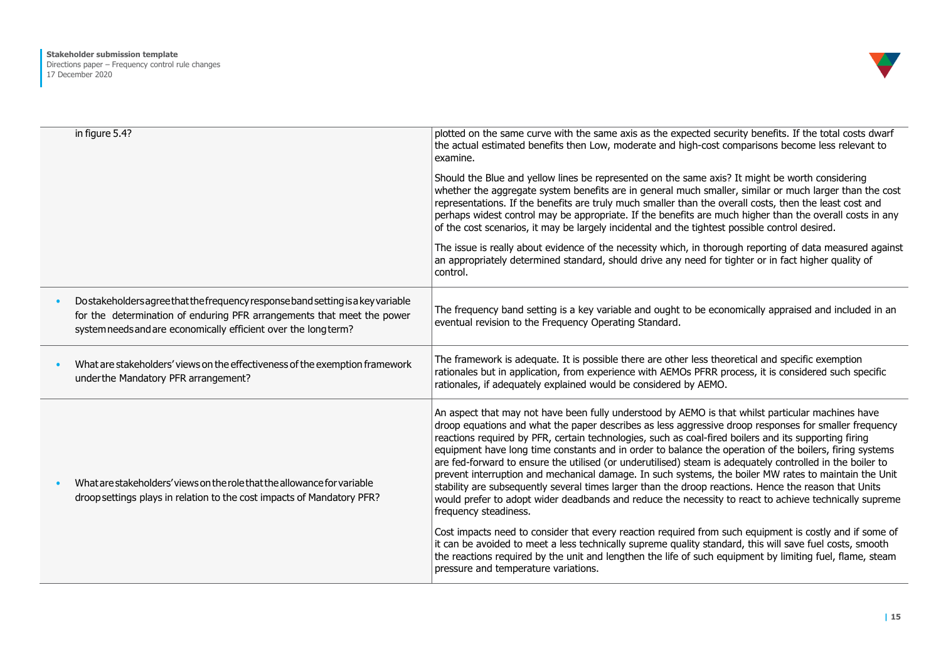

| in figure 5.4?                                                                                                                                                                                                                | plotted on the same curve with the same axis as the expected security benefits. If the total costs dwarf<br>the actual estimated benefits then Low, moderate and high-cost comparisons become less relevant to<br>examine.                                                                                                                                                                                                                                                                                                                                                                                                                                                                                                                                                                                                                                                                                                                                                                                                                                                                                              |
|-------------------------------------------------------------------------------------------------------------------------------------------------------------------------------------------------------------------------------|-------------------------------------------------------------------------------------------------------------------------------------------------------------------------------------------------------------------------------------------------------------------------------------------------------------------------------------------------------------------------------------------------------------------------------------------------------------------------------------------------------------------------------------------------------------------------------------------------------------------------------------------------------------------------------------------------------------------------------------------------------------------------------------------------------------------------------------------------------------------------------------------------------------------------------------------------------------------------------------------------------------------------------------------------------------------------------------------------------------------------|
|                                                                                                                                                                                                                               | Should the Blue and yellow lines be represented on the same axis? It might be worth considering<br>whether the aggregate system benefits are in general much smaller, similar or much larger than the cost<br>representations. If the benefits are truly much smaller than the overall costs, then the least cost and<br>perhaps widest control may be appropriate. If the benefits are much higher than the overall costs in any<br>of the cost scenarios, it may be largely incidental and the tightest possible control desired.                                                                                                                                                                                                                                                                                                                                                                                                                                                                                                                                                                                     |
|                                                                                                                                                                                                                               | The issue is really about evidence of the necessity which, in thorough reporting of data measured against<br>an appropriately determined standard, should drive any need for tighter or in fact higher quality of<br>control.                                                                                                                                                                                                                                                                                                                                                                                                                                                                                                                                                                                                                                                                                                                                                                                                                                                                                           |
| Do stakeholders agree that the frequency response band setting is a key variable<br>for the determination of enduring PFR arrangements that meet the power<br>system needs and are economically efficient over the long term? | The frequency band setting is a key variable and ought to be economically appraised and included in an<br>eventual revision to the Frequency Operating Standard.                                                                                                                                                                                                                                                                                                                                                                                                                                                                                                                                                                                                                                                                                                                                                                                                                                                                                                                                                        |
| What are stakeholders' views on the effectiveness of the exemption framework<br>under the Mandatory PFR arrangement?                                                                                                          | The framework is adequate. It is possible there are other less theoretical and specific exemption<br>rationales but in application, from experience with AEMOs PFRR process, it is considered such specific<br>rationales, if adequately explained would be considered by AEMO.                                                                                                                                                                                                                                                                                                                                                                                                                                                                                                                                                                                                                                                                                                                                                                                                                                         |
| What are stakeholders' views on the role that the allowance for variable<br>droop settings plays in relation to the cost impacts of Mandatory PFR?                                                                            | An aspect that may not have been fully understood by AEMO is that whilst particular machines have<br>droop equations and what the paper describes as less aggressive droop responses for smaller frequency<br>reactions required by PFR, certain technologies, such as coal-fired boilers and its supporting firing<br>equipment have long time constants and in order to balance the operation of the boilers, firing systems<br>are fed-forward to ensure the utilised (or underutilised) steam is adequately controlled in the boiler to<br>prevent interruption and mechanical damage. In such systems, the boiler MW rates to maintain the Unit<br>stability are subsequently several times larger than the droop reactions. Hence the reason that Units<br>would prefer to adopt wider deadbands and reduce the necessity to react to achieve technically supreme<br>frequency steadiness.<br>Cost impacts need to consider that every reaction required from such equipment is costly and if some of<br>it can be avoided to meet a less technically supreme quality standard, this will save fuel costs, smooth |
|                                                                                                                                                                                                                               | the reactions required by the unit and lengthen the life of such equipment by limiting fuel, flame, steam<br>pressure and temperature variations.                                                                                                                                                                                                                                                                                                                                                                                                                                                                                                                                                                                                                                                                                                                                                                                                                                                                                                                                                                       |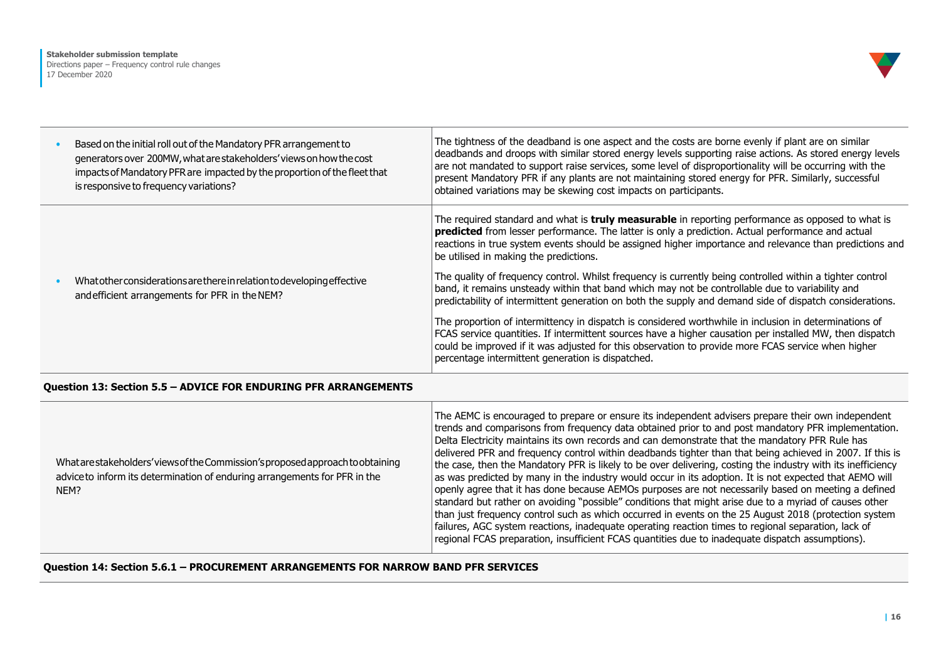

| Based on the initial roll out of the Mandatory PFR arrangement to<br>generators over 200MW, what are stakeholders' views on how the cost<br>impacts of Mandatory PFR are impacted by the proportion of the fleet that<br>is responsive to frequency variations? | The tightness of the deadband is one aspect and the costs are borne evenly if plant are on similar<br>deadbands and droops with similar stored energy levels supporting raise actions. As stored energy levels<br>are not mandated to support raise services, some level of disproportionality will be occurring with the<br>present Mandatory PFR if any plants are not maintaining stored energy for PFR. Similarly, successful<br>obtained variations may be skewing cost impacts on participants. |
|-----------------------------------------------------------------------------------------------------------------------------------------------------------------------------------------------------------------------------------------------------------------|-------------------------------------------------------------------------------------------------------------------------------------------------------------------------------------------------------------------------------------------------------------------------------------------------------------------------------------------------------------------------------------------------------------------------------------------------------------------------------------------------------|
| What other considerations are there in relation to developing effective<br>and efficient arrangements for PFR in the NEM?                                                                                                                                       | The required standard and what is <b>truly measurable</b> in reporting performance as opposed to what is<br>predicted from lesser performance. The latter is only a prediction. Actual performance and actual<br>reactions in true system events should be assigned higher importance and relevance than predictions and<br>be utilised in making the predictions.<br>The quality of frequency control. Whilst frequency is currently being controlled within a tighter control                       |
|                                                                                                                                                                                                                                                                 | band, it remains unsteady within that band which may not be controllable due to variability and<br>predictability of intermittent generation on both the supply and demand side of dispatch considerations.                                                                                                                                                                                                                                                                                           |
|                                                                                                                                                                                                                                                                 | The proportion of intermittency in dispatch is considered worthwhile in inclusion in determinations of<br>FCAS service quantities. If intermittent sources have a higher causation per installed MW, then dispatch<br>could be improved if it was adjusted for this observation to provide more FCAS service when higher<br>percentage intermittent generation is dispatched.                                                                                                                         |

## **Question 13: Section 5.5 – ADVICE FOR ENDURING PFR ARRANGEMENTS**

| What are stake holders' views of the Commission's proposed approach to obtaining<br>advice to inform its determination of enduring arrangements for PFR in the<br>NEM? | The AEMC is encouraged to prepare or ensure its independent advisers prepare their own independent<br>trends and comparisons from frequency data obtained prior to and post mandatory PFR implementation.<br>Delta Electricity maintains its own records and can demonstrate that the mandatory PFR Rule has<br>delivered PFR and frequency control within deadbands tighter than that being achieved in 2007. If this is<br>the case, then the Mandatory PFR is likely to be over delivering, costing the industry with its inefficiency<br>as was predicted by many in the industry would occur in its adoption. It is not expected that AEMO will<br>openly agree that it has done because AEMOs purposes are not necessarily based on meeting a defined<br>standard but rather on avoiding "possible" conditions that might arise due to a myriad of causes other<br>than just frequency control such as which occurred in events on the 25 August 2018 (protection system<br>failures, AGC system reactions, inadequate operating reaction times to regional separation, lack of<br>regional FCAS preparation, insufficient FCAS quantities due to inadequate dispatch assumptions). |
|------------------------------------------------------------------------------------------------------------------------------------------------------------------------|-------------------------------------------------------------------------------------------------------------------------------------------------------------------------------------------------------------------------------------------------------------------------------------------------------------------------------------------------------------------------------------------------------------------------------------------------------------------------------------------------------------------------------------------------------------------------------------------------------------------------------------------------------------------------------------------------------------------------------------------------------------------------------------------------------------------------------------------------------------------------------------------------------------------------------------------------------------------------------------------------------------------------------------------------------------------------------------------------------------------------------------------------------------------------------------------|

**Question 14: Section 5.6.1 – PROCUREMENT ARRANGEMENTS FOR NARROW BAND PFR SERVICES**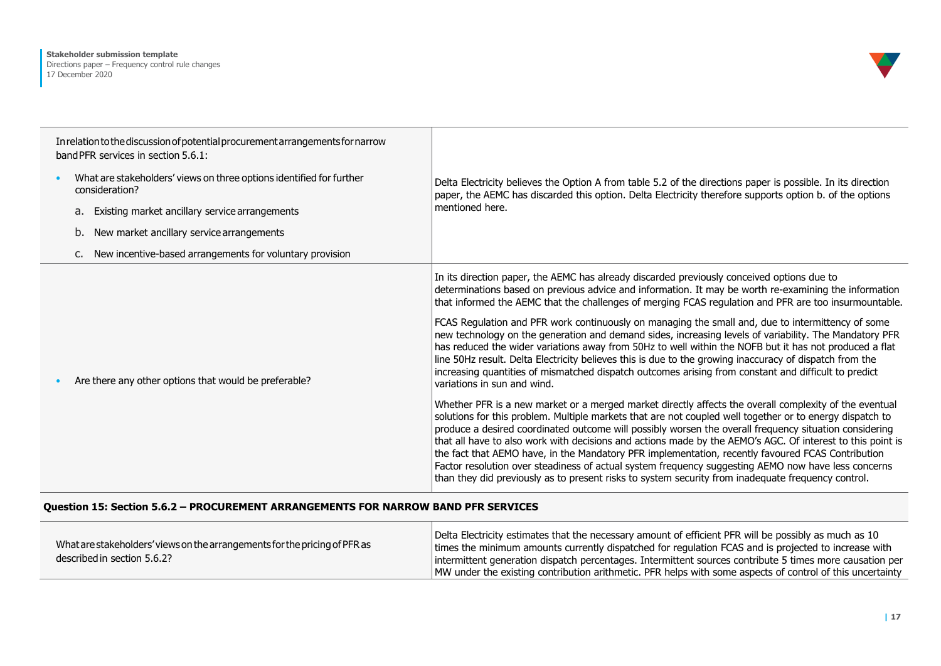

| In relation to the discussion of potential procurement arrangements for narrow<br>band PFR services in section 5.6.1: |                                                                                        |                                                                                                                                                                                                                                                                                                                                                                                                                                                                                                                                                                                                                                                                                                                                                                                                                                                                                         |
|-----------------------------------------------------------------------------------------------------------------------|----------------------------------------------------------------------------------------|-----------------------------------------------------------------------------------------------------------------------------------------------------------------------------------------------------------------------------------------------------------------------------------------------------------------------------------------------------------------------------------------------------------------------------------------------------------------------------------------------------------------------------------------------------------------------------------------------------------------------------------------------------------------------------------------------------------------------------------------------------------------------------------------------------------------------------------------------------------------------------------------|
|                                                                                                                       | What are stakeholders' views on three options identified for further<br>consideration? | Delta Electricity believes the Option A from table 5.2 of the directions paper is possible. In its direction<br>paper, the AEMC has discarded this option. Delta Electricity therefore supports option b. of the options                                                                                                                                                                                                                                                                                                                                                                                                                                                                                                                                                                                                                                                                |
|                                                                                                                       | Existing market ancillary service arrangements<br>a.                                   | mentioned here.                                                                                                                                                                                                                                                                                                                                                                                                                                                                                                                                                                                                                                                                                                                                                                                                                                                                         |
|                                                                                                                       | New market ancillary service arrangements<br>b.                                        |                                                                                                                                                                                                                                                                                                                                                                                                                                                                                                                                                                                                                                                                                                                                                                                                                                                                                         |
|                                                                                                                       | New incentive-based arrangements for voluntary provision<br>c.                         |                                                                                                                                                                                                                                                                                                                                                                                                                                                                                                                                                                                                                                                                                                                                                                                                                                                                                         |
|                                                                                                                       | Are there any other options that would be preferable?                                  | In its direction paper, the AEMC has already discarded previously conceived options due to<br>determinations based on previous advice and information. It may be worth re-examining the information<br>that informed the AEMC that the challenges of merging FCAS regulation and PFR are too insurmountable.<br>FCAS Regulation and PFR work continuously on managing the small and, due to intermittency of some<br>new technology on the generation and demand sides, increasing levels of variability. The Mandatory PFR<br>has reduced the wider variations away from 50Hz to well within the NOFB but it has not produced a flat<br>line 50Hz result. Delta Electricity believes this is due to the growing inaccuracy of dispatch from the<br>increasing quantities of mismatched dispatch outcomes arising from constant and difficult to predict<br>variations in sun and wind. |
|                                                                                                                       |                                                                                        | Whether PFR is a new market or a merged market directly affects the overall complexity of the eventual<br>solutions for this problem. Multiple markets that are not coupled well together or to energy dispatch to<br>produce a desired coordinated outcome will possibly worsen the overall frequency situation considering<br>that all have to also work with decisions and actions made by the AEMO's AGC. Of interest to this point is<br>the fact that AEMO have, in the Mandatory PFR implementation, recently favoured FCAS Contribution<br>Factor resolution over steadiness of actual system frequency suggesting AEMO now have less concerns<br>than they did previously as to present risks to system security from inadequate frequency control.                                                                                                                            |

## **Question 15: Section 5.6.2 – PROCUREMENT ARRANGEMENTS FOR NARROW BAND PFR SERVICES**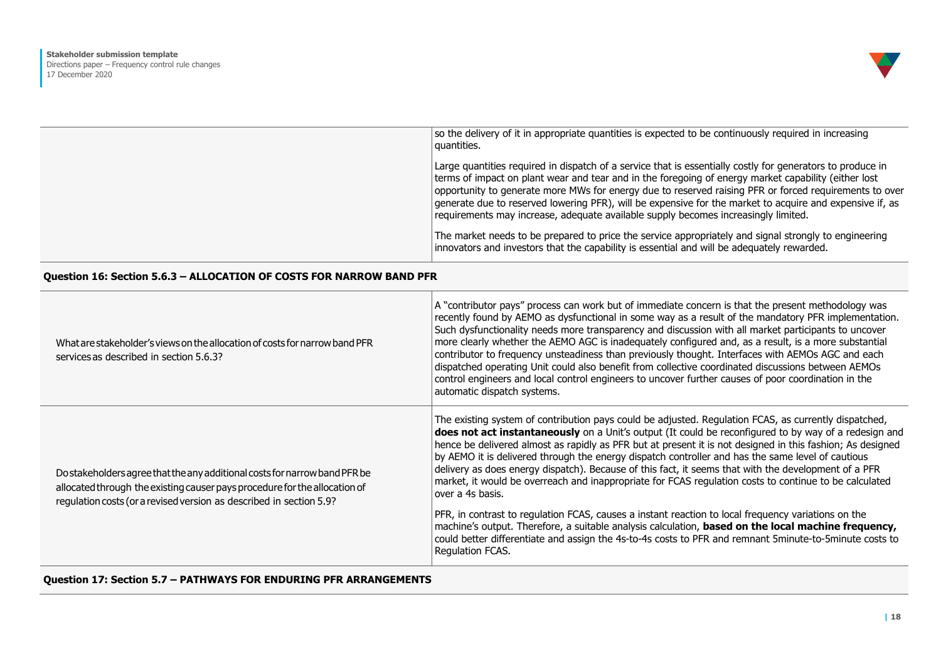

| so the delivery of it in appropriate quantities is expected to be continuously required in increasing<br>quantities.                                                                                                                                                                                                                                                                                                                                                                                                           |
|--------------------------------------------------------------------------------------------------------------------------------------------------------------------------------------------------------------------------------------------------------------------------------------------------------------------------------------------------------------------------------------------------------------------------------------------------------------------------------------------------------------------------------|
| Large quantities required in dispatch of a service that is essentially costly for generators to produce in<br>terms of impact on plant wear and tear and in the foregoing of energy market capability (either lost<br>opportunity to generate more MWs for energy due to reserved raising PFR or forced requirements to over<br>generate due to reserved lowering PFR), will be expensive for the market to acquire and expensive if, as<br>requirements may increase, adequate available supply becomes increasingly limited. |
| The market needs to be prepared to price the service appropriately and signal strongly to engineering<br>innovators and investors that the capability is essential and will be adequately rewarded.                                                                                                                                                                                                                                                                                                                            |

## **Question 16: Section 5.6.3 – ALLOCATION OF COSTS FOR NARROW BAND PFR**

| What are stakeholder's views on the allocation of costs for narrow band PFR<br>services as described in section 5.6.3?                                                                                                          | A "contributor pays" process can work but of immediate concern is that the present methodology was<br>recently found by AEMO as dysfunctional in some way as a result of the mandatory PFR implementation.<br>Such dysfunctionality needs more transparency and discussion with all market participants to uncover<br>more clearly whether the AEMO AGC is inadequately configured and, as a result, is a more substantial<br>contributor to frequency unsteadiness than previously thought. Interfaces with AEMOs AGC and each<br>dispatched operating Unit could also benefit from collective coordinated discussions between AEMOs<br>control engineers and local control engineers to uncover further causes of poor coordination in the<br>automatic dispatch systems.                                                                                                                                                                                                                                          |
|---------------------------------------------------------------------------------------------------------------------------------------------------------------------------------------------------------------------------------|----------------------------------------------------------------------------------------------------------------------------------------------------------------------------------------------------------------------------------------------------------------------------------------------------------------------------------------------------------------------------------------------------------------------------------------------------------------------------------------------------------------------------------------------------------------------------------------------------------------------------------------------------------------------------------------------------------------------------------------------------------------------------------------------------------------------------------------------------------------------------------------------------------------------------------------------------------------------------------------------------------------------|
| Do stakeholders agree that the any additional costs for narrow band PFR be<br>allocated through the existing causer pays procedure for the allocation of<br>regulation costs (or a revised version as described in section 5.9? | The existing system of contribution pays could be adjusted. Regulation FCAS, as currently dispatched,<br>does not act instantaneously on a Unit's output (It could be reconfigured to by way of a redesign and<br>hence be delivered almost as rapidly as PFR but at present it is not designed in this fashion; As designed<br>by AEMO it is delivered through the energy dispatch controller and has the same level of cautious<br>delivery as does energy dispatch). Because of this fact, it seems that with the development of a PFR<br>market, it would be overreach and inappropriate for FCAS regulation costs to continue to be calculated<br>over a 4s basis.<br>PFR, in contrast to regulation FCAS, causes a instant reaction to local frequency variations on the<br>machine's output. Therefore, a suitable analysis calculation, based on the local machine frequency,<br>could better differentiate and assign the 4s-to-4s costs to PFR and remnant 5minute-to-5minute costs to<br>Regulation FCAS. |

**Question 17: Section 5.7 – PATHWAYS FOR ENDURING PFR ARRANGEMENTS**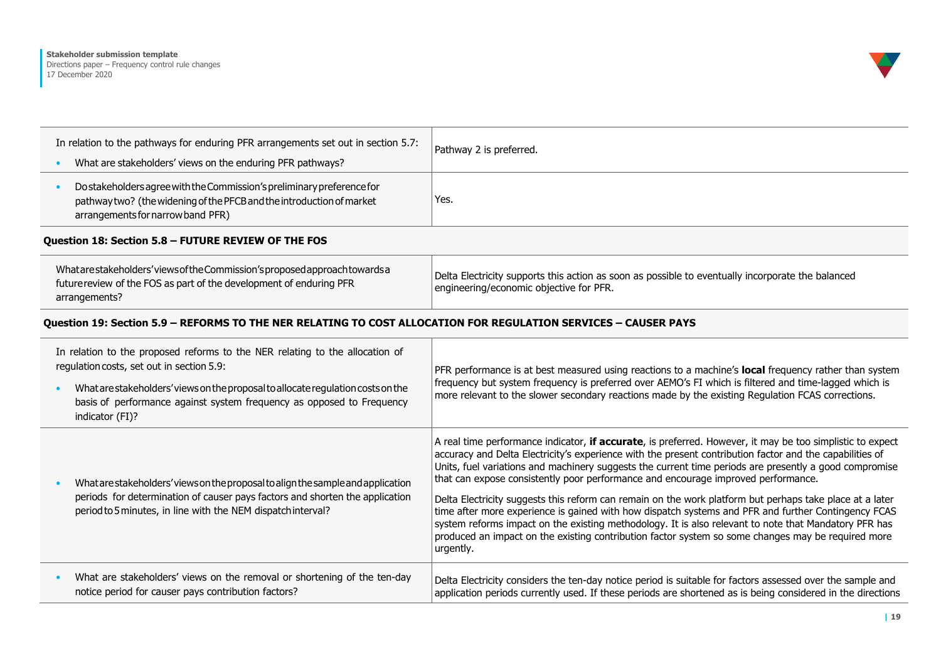# **Stakeholder submission template**

Directions paper – Frequency control rule changes 17 December 2020



| In relation to the pathways for enduring PFR arrangements set out in section 5.7:                                                                                                    | Pathway 2 is preferred. |
|--------------------------------------------------------------------------------------------------------------------------------------------------------------------------------------|-------------------------|
| What are stakeholders' views on the enduring PFR pathways?                                                                                                                           |                         |
| Do stakeholders agree with the Commission's preliminary preference for<br>pathway two? (the widening of the PFCB and the introduction of market<br>arrangements for narrow band PFR) | Yes.                    |

#### **Question 18: Section 5.8 – FUTURE REVIEW OF THE FOS**

# **Question 19: Section 5.9 – REFORMS TO THE NER RELATING TO COST ALLOCATION FOR REGULATION SERVICES – CAUSER PAYS**

| In relation to the proposed reforms to the NER relating to the allocation of<br>regulation costs, set out in section 5.9:<br>What are stakeholders' views on the proposal to allocate regulation costs on the<br>basis of performance against system frequency as opposed to Frequency<br>indicator (FI)? | PFR performance is at best measured using reactions to a machine's local frequency rather than system<br>frequency but system frequency is preferred over AEMO's FI which is filtered and time-lagged which is<br>more relevant to the slower secondary reactions made by the existing Regulation FCAS corrections.                                                                                                                                                                                                                                                                                                                                                                                                                                                                                                                                                 |
|-----------------------------------------------------------------------------------------------------------------------------------------------------------------------------------------------------------------------------------------------------------------------------------------------------------|---------------------------------------------------------------------------------------------------------------------------------------------------------------------------------------------------------------------------------------------------------------------------------------------------------------------------------------------------------------------------------------------------------------------------------------------------------------------------------------------------------------------------------------------------------------------------------------------------------------------------------------------------------------------------------------------------------------------------------------------------------------------------------------------------------------------------------------------------------------------|
| What are stakeholders' views on the proposal to align the sample and application<br>periods for determination of causer pays factors and shorten the application<br>period to 5 minutes, in line with the NEM dispatch interval?                                                                          | A real time performance indicator, if accurate, is preferred. However, it may be too simplistic to expect<br>accuracy and Delta Electricity's experience with the present contribution factor and the capabilities of<br>Units, fuel variations and machinery suggests the current time periods are presently a good compromise<br>that can expose consistently poor performance and encourage improved performance.<br>Delta Electricity suggests this reform can remain on the work platform but perhaps take place at a later<br>time after more experience is gained with how dispatch systems and PFR and further Contingency FCAS<br>system reforms impact on the existing methodology. It is also relevant to note that Mandatory PFR has<br>produced an impact on the existing contribution factor system so some changes may be required more<br>urgently. |
| What are stakeholders' views on the removal or shortening of the ten-day<br>notice period for causer pays contribution factors?                                                                                                                                                                           | Delta Electricity considers the ten-day notice period is suitable for factors assessed over the sample and<br>application periods currently used. If these periods are shortened as is being considered in the directions                                                                                                                                                                                                                                                                                                                                                                                                                                                                                                                                                                                                                                           |